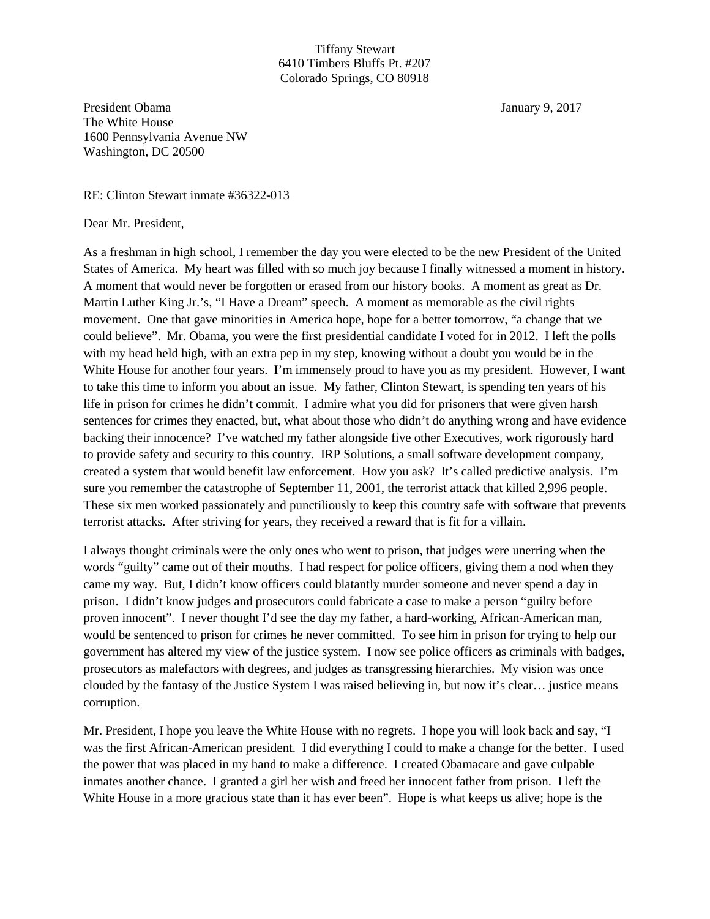## Tiffany Stewart 6410 Timbers Bluffs Pt. #207 Colorado Springs, CO 80918

President Obama January 9, 2017 The White House 1600 Pennsylvania Avenue NW Washington, DC 20500

RE: Clinton Stewart inmate #36322-013

Dear Mr. President,

As a freshman in high school, I remember the day you were elected to be the new President of the United States of America. My heart was filled with so much joy because I finally witnessed a moment in history. A moment that would never be forgotten or erased from our history books. A moment as great as Dr. Martin Luther King Jr.'s, "I Have a Dream" speech. A moment as memorable as the civil rights movement. One that gave minorities in America hope, hope for a better tomorrow, "a change that we could believe". Mr. Obama, you were the first presidential candidate I voted for in 2012. I left the polls with my head held high, with an extra pep in my step, knowing without a doubt you would be in the White House for another four years. I'm immensely proud to have you as my president. However, I want to take this time to inform you about an issue. My father, Clinton Stewart, is spending ten years of his life in prison for crimes he didn't commit. I admire what you did for prisoners that were given harsh sentences for crimes they enacted, but, what about those who didn't do anything wrong and have evidence backing their innocence? I've watched my father alongside five other Executives, work rigorously hard to provide safety and security to this country. IRP Solutions, a small software development company, created a system that would benefit law enforcement. How you ask? It's called predictive analysis. I'm sure you remember the catastrophe of September 11, 2001, the terrorist attack that killed 2,996 people. These six men worked passionately and punctiliously to keep this country safe with software that prevents terrorist attacks. After striving for years, they received a reward that is fit for a villain.

I always thought criminals were the only ones who went to prison, that judges were unerring when the words "guilty" came out of their mouths. I had respect for police officers, giving them a nod when they came my way. But, I didn't know officers could blatantly murder someone and never spend a day in prison. I didn't know judges and prosecutors could fabricate a case to make a person "guilty before proven innocent". I never thought I'd see the day my father, a hard-working, African-American man, would be sentenced to prison for crimes he never committed. To see him in prison for trying to help our government has altered my view of the justice system. I now see police officers as criminals with badges, prosecutors as malefactors with degrees, and judges as transgressing hierarchies. My vision was once clouded by the fantasy of the Justice System I was raised believing in, but now it's clear… justice means corruption.

Mr. President, I hope you leave the White House with no regrets. I hope you will look back and say, "I was the first African-American president. I did everything I could to make a change for the better. I used the power that was placed in my hand to make a difference. I created Obamacare and gave culpable inmates another chance. I granted a girl her wish and freed her innocent father from prison. I left the White House in a more gracious state than it has ever been". Hope is what keeps us alive; hope is the